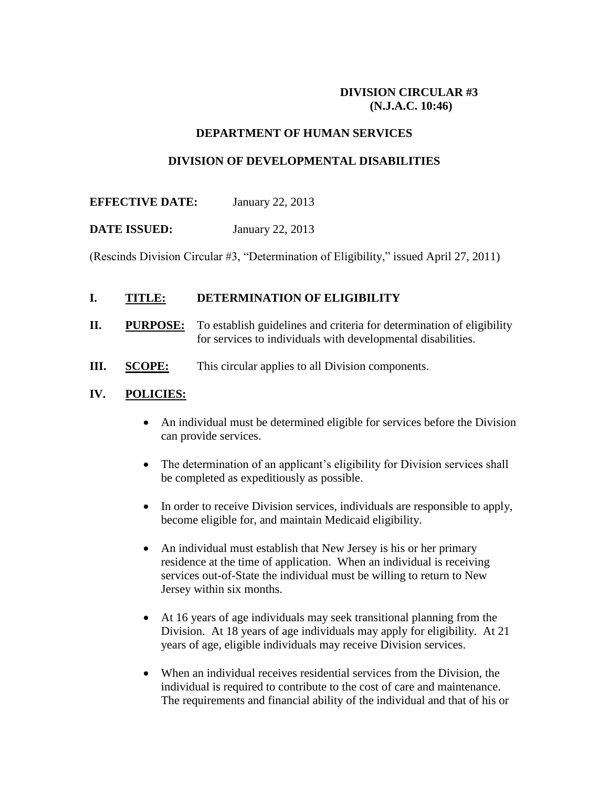## **DIVISION CIRCULAR #3 (N.J.A.C. 10:46)**

### **DEPARTMENT OF HUMAN SERVICES**

### **DIVISION OF DEVELOPMENTAL DISABILITIES**

### **EFFECTIVE DATE:** January 22, 2013

## **DATE ISSUED:** January 22, 2013

(Rescinds Division Circular #3, "Determination of Eligibility," issued April 27, 2011)

### **I. TITLE: DETERMINATION OF ELIGIBILITY**

- **II. PURPOSE:** To establish guidelines and criteria for determination of eligibility for services to individuals with developmental disabilities.
- **III. SCOPE:** This circular applies to all Division components.

### **IV. POLICIES:**

- An individual must be determined eligible for services before the Division can provide services.
- The determination of an applicant's eligibility for Division services shall be completed as expeditiously as possible.
- In order to receive Division services, individuals are responsible to apply, become eligible for, and maintain Medicaid eligibility.
- An individual must establish that New Jersey is his or her primary residence at the time of application. When an individual is receiving services out-of-State the individual must be willing to return to New Jersey within six months.
- At 16 years of age individuals may seek transitional planning from the Division. At 18 years of age individuals may apply for eligibility. At 21 years of age, eligible individuals may receive Division services.
- When an individual receives residential services from the Division, the individual is required to contribute to the cost of care and maintenance. The requirements and financial ability of the individual and that of his or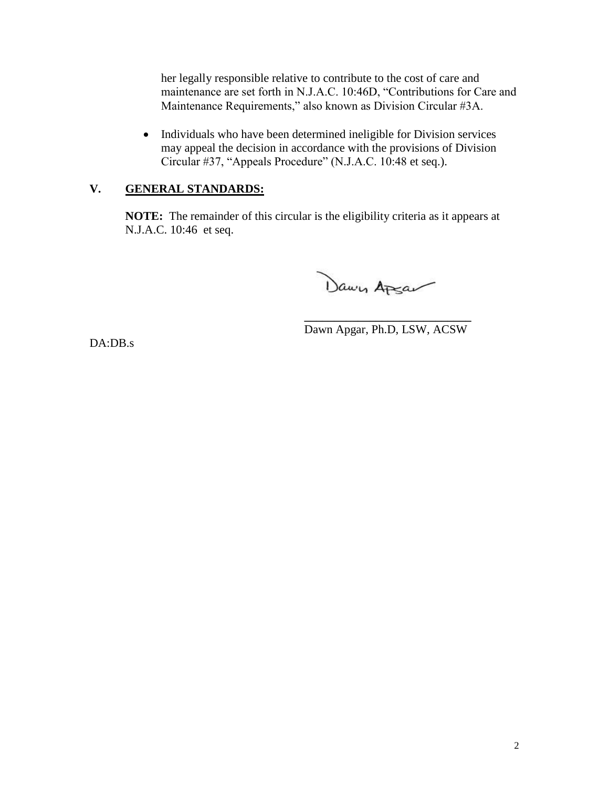her legally responsible relative to contribute to the cost of care and maintenance are set forth in N.J.A.C. 10:46D, "Contributions for Care and Maintenance Requirements," also known as Division Circular #3A.

 Individuals who have been determined ineligible for Division services may appeal the decision in accordance with the provisions of Division Circular #37, "Appeals Procedure" (N.J.A.C. 10:48 et seq.).

# **V. GENERAL STANDARDS:**

**NOTE:** The remainder of this circular is the eligibility criteria as it appears at N.J.A.C. 10:46 et seq.

Dawn Apsa

**\_\_\_\_\_\_\_\_\_\_\_\_\_\_\_\_\_\_\_\_\_\_\_\_\_\_\_\_** Dawn Apgar, Ph.D, LSW, ACSW

DA:DB.s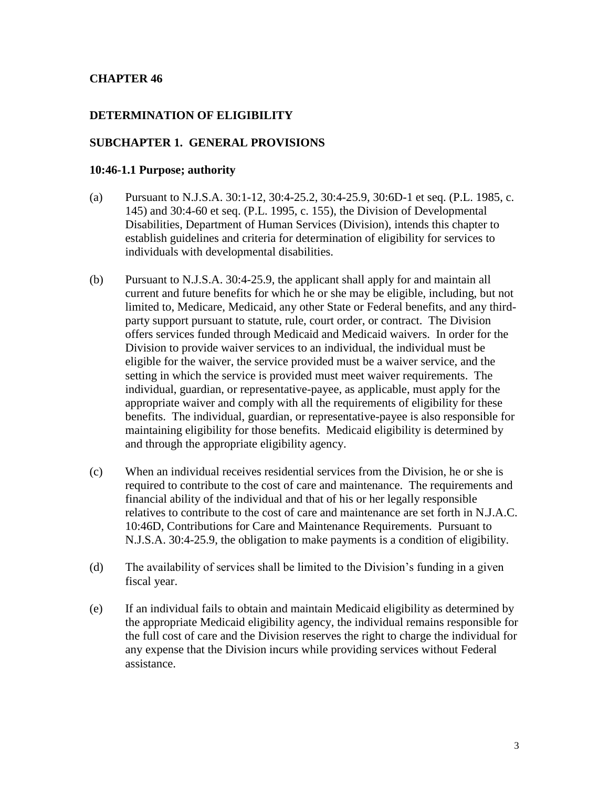### **CHAPTER 46**

### **DETERMINATION OF ELIGIBILITY**

#### **SUBCHAPTER 1. GENERAL PROVISIONS**

#### **10:46-1.1 Purpose; authority**

- (a) Pursuant to N.J.S.A. 30:1-12, 30:4-25.2, 30:4-25.9, 30:6D-1 et seq. (P.L. 1985, c. 145) and 30:4-60 et seq. (P.L. 1995, c. 155), the Division of Developmental Disabilities, Department of Human Services (Division), intends this chapter to establish guidelines and criteria for determination of eligibility for services to individuals with developmental disabilities.
- (b) Pursuant to N.J.S.A. 30:4-25.9, the applicant shall apply for and maintain all current and future benefits for which he or she may be eligible, including, but not limited to, Medicare, Medicaid, any other State or Federal benefits, and any thirdparty support pursuant to statute, rule, court order, or contract. The Division offers services funded through Medicaid and Medicaid waivers. In order for the Division to provide waiver services to an individual, the individual must be eligible for the waiver, the service provided must be a waiver service, and the setting in which the service is provided must meet waiver requirements. The individual, guardian, or representative-payee, as applicable, must apply for the appropriate waiver and comply with all the requirements of eligibility for these benefits. The individual, guardian, or representative-payee is also responsible for maintaining eligibility for those benefits. Medicaid eligibility is determined by and through the appropriate eligibility agency.
- (c) When an individual receives residential services from the Division, he or she is required to contribute to the cost of care and maintenance. The requirements and financial ability of the individual and that of his or her legally responsible relatives to contribute to the cost of care and maintenance are set forth in N.J.A.C. 10:46D, Contributions for Care and Maintenance Requirements. Pursuant to N.J.S.A. 30:4-25.9, the obligation to make payments is a condition of eligibility.
- (d) The availability of services shall be limited to the Division's funding in a given fiscal year.
- (e) If an individual fails to obtain and maintain Medicaid eligibility as determined by the appropriate Medicaid eligibility agency, the individual remains responsible for the full cost of care and the Division reserves the right to charge the individual for any expense that the Division incurs while providing services without Federal assistance.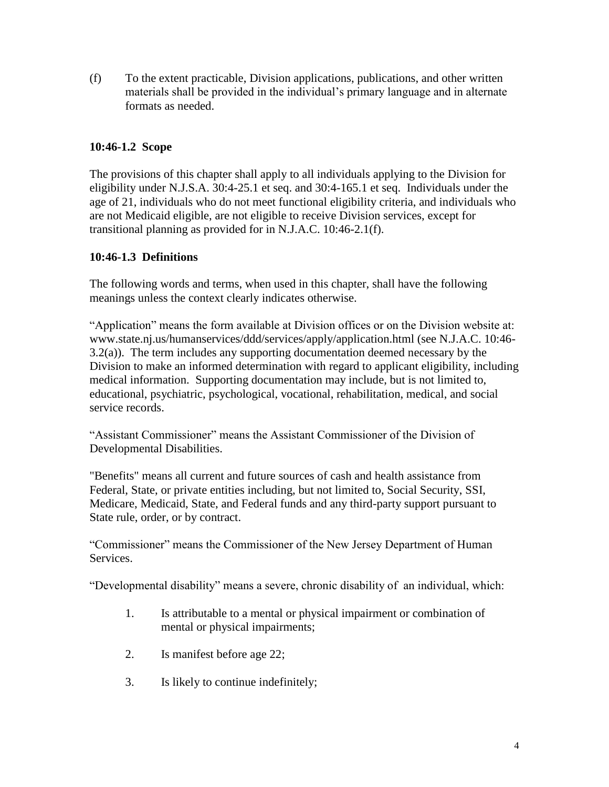(f) To the extent practicable, Division applications, publications, and other written materials shall be provided in the individual's primary language and in alternate formats as needed.

# **10:46-1.2 Scope**

The provisions of this chapter shall apply to all individuals applying to the Division for eligibility under N.J.S.A. 30:4-25.1 et seq. and 30:4-165.1 et seq. Individuals under the age of 21, individuals who do not meet functional eligibility criteria, and individuals who are not Medicaid eligible, are not eligible to receive Division services, except for transitional planning as provided for in N.J.A.C. 10:46-2.1(f).

# **10:46-1.3 Definitions**

The following words and terms, when used in this chapter, shall have the following meanings unless the context clearly indicates otherwise.

"Application" means the form available at Division offices or on the Division website at: www.state.nj.us/humanservices/ddd/services/apply/application.html (see N.J.A.C. 10:46- 3.2(a)). The term includes any supporting documentation deemed necessary by the Division to make an informed determination with regard to applicant eligibility, including medical information. Supporting documentation may include, but is not limited to, educational, psychiatric, psychological, vocational, rehabilitation, medical, and social service records.

"Assistant Commissioner" means the Assistant Commissioner of the Division of Developmental Disabilities.

"Benefits" means all current and future sources of cash and health assistance from Federal, State, or private entities including, but not limited to, Social Security, SSI, Medicare, Medicaid, State, and Federal funds and any third-party support pursuant to State rule, order, or by contract.

"Commissioner" means the Commissioner of the New Jersey Department of Human Services.

"Developmental disability" means a severe, chronic disability of an individual, which:

- 1. Is attributable to a mental or physical impairment or combination of mental or physical impairments;
- 2. Is manifest before age 22;
- 3. Is likely to continue indefinitely;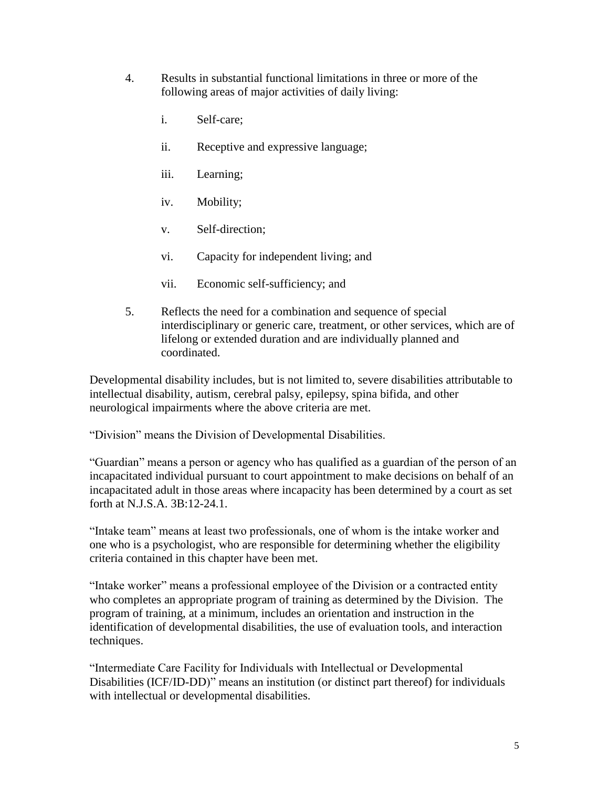- 4. Results in substantial functional limitations in three or more of the following areas of major activities of daily living:
	- i. Self-care;
	- ii. Receptive and expressive language;
	- iii. Learning;
	- iv. Mobility;
	- v. Self-direction;
	- vi. Capacity for independent living; and
	- vii. Economic self-sufficiency; and
- 5. Reflects the need for a combination and sequence of special interdisciplinary or generic care, treatment, or other services, which are of lifelong or extended duration and are individually planned and coordinated.

Developmental disability includes, but is not limited to, severe disabilities attributable to intellectual disability, autism, cerebral palsy, epilepsy, spina bifida, and other neurological impairments where the above criteria are met.

"Division" means the Division of Developmental Disabilities.

"Guardian" means a person or agency who has qualified as a guardian of the person of an incapacitated individual pursuant to court appointment to make decisions on behalf of an incapacitated adult in those areas where incapacity has been determined by a court as set forth at N.J.S.A. 3B:12-24.1.

"Intake team" means at least two professionals, one of whom is the intake worker and one who is a psychologist, who are responsible for determining whether the eligibility criteria contained in this chapter have been met.

"Intake worker" means a professional employee of the Division or a contracted entity who completes an appropriate program of training as determined by the Division. The program of training, at a minimum, includes an orientation and instruction in the identification of developmental disabilities, the use of evaluation tools, and interaction techniques.

"Intermediate Care Facility for Individuals with Intellectual or Developmental Disabilities (ICF/ID-DD)" means an institution (or distinct part thereof) for individuals with intellectual or developmental disabilities.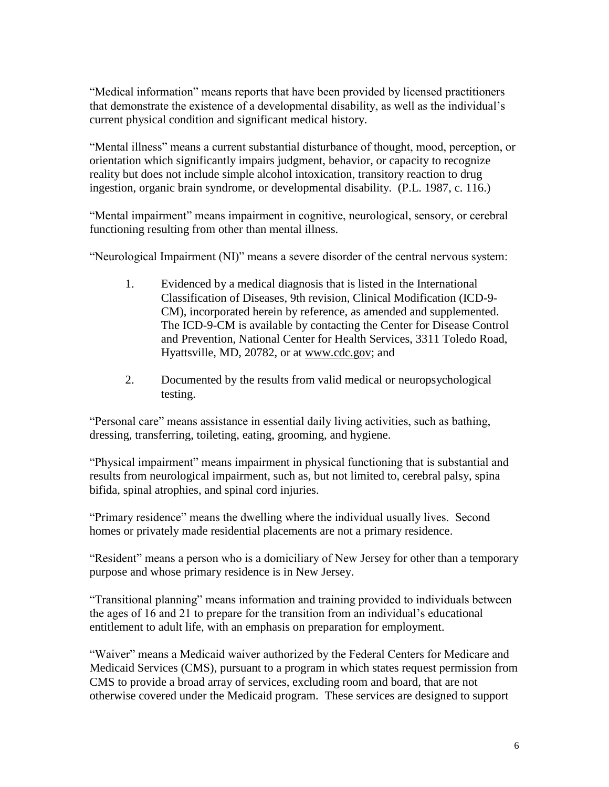"Medical information" means reports that have been provided by licensed practitioners that demonstrate the existence of a developmental disability, as well as the individual's current physical condition and significant medical history.

"Mental illness" means a current substantial disturbance of thought, mood, perception, or orientation which significantly impairs judgment, behavior, or capacity to recognize reality but does not include simple alcohol intoxication, transitory reaction to drug ingestion, organic brain syndrome, or developmental disability. (P.L. 1987, c. 116.)

"Mental impairment" means impairment in cognitive, neurological, sensory, or cerebral functioning resulting from other than mental illness.

"Neurological Impairment (NI)" means a severe disorder of the central nervous system:

- 1. Evidenced by a medical diagnosis that is listed in the International Classification of Diseases, 9th revision, Clinical Modification (ICD-9- CM), incorporated herein by reference, as amended and supplemented. The ICD-9-CM is available by contacting the Center for Disease Control and Prevention, National Center for Health Services, 3311 Toledo Road, Hyattsville, MD, 20782, or at www.cdc.gov; and
- 2. Documented by the results from valid medical or neuropsychological testing.

"Personal care" means assistance in essential daily living activities, such as bathing, dressing, transferring, toileting, eating, grooming, and hygiene.

"Physical impairment" means impairment in physical functioning that is substantial and results from neurological impairment, such as, but not limited to, cerebral palsy, spina bifida, spinal atrophies, and spinal cord injuries.

"Primary residence" means the dwelling where the individual usually lives. Second homes or privately made residential placements are not a primary residence.

"Resident" means a person who is a domiciliary of New Jersey for other than a temporary purpose and whose primary residence is in New Jersey.

"Transitional planning" means information and training provided to individuals between the ages of 16 and 21 to prepare for the transition from an individual's educational entitlement to adult life, with an emphasis on preparation for employment.

"Waiver" means a Medicaid waiver authorized by the Federal Centers for Medicare and Medicaid Services (CMS), pursuant to a program in which states request permission from CMS to provide a broad array of services, excluding room and board, that are not otherwise covered under the Medicaid program. These services are designed to support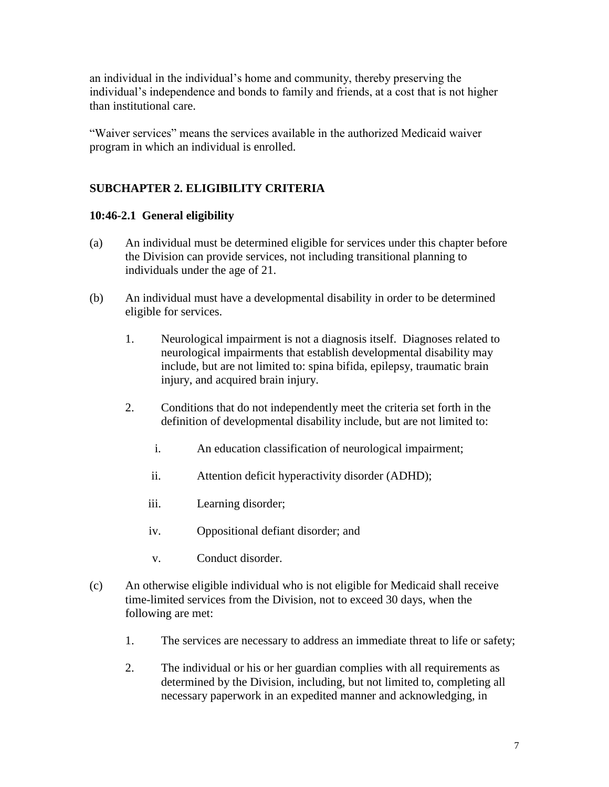an individual in the individual's home and community, thereby preserving the individual's independence and bonds to family and friends, at a cost that is not higher than institutional care.

"Waiver services" means the services available in the authorized Medicaid waiver program in which an individual is enrolled.

# **SUBCHAPTER 2. ELIGIBILITY CRITERIA**

# **10:46-2.1 General eligibility**

- (a) An individual must be determined eligible for services under this chapter before the Division can provide services, not including transitional planning to individuals under the age of 21.
- (b) An individual must have a developmental disability in order to be determined eligible for services.
	- 1. Neurological impairment is not a diagnosis itself. Diagnoses related to neurological impairments that establish developmental disability may include, but are not limited to: spina bifida, epilepsy, traumatic brain injury, and acquired brain injury.
	- 2. Conditions that do not independently meet the criteria set forth in the definition of developmental disability include, but are not limited to:
		- i. An education classification of neurological impairment;
		- ii. Attention deficit hyperactivity disorder (ADHD);
		- iii. Learning disorder;
		- iv. Oppositional defiant disorder; and
		- v. Conduct disorder.
- (c) An otherwise eligible individual who is not eligible for Medicaid shall receive time-limited services from the Division, not to exceed 30 days, when the following are met:
	- 1. The services are necessary to address an immediate threat to life or safety;
	- 2. The individual or his or her guardian complies with all requirements as determined by the Division, including, but not limited to, completing all necessary paperwork in an expedited manner and acknowledging, in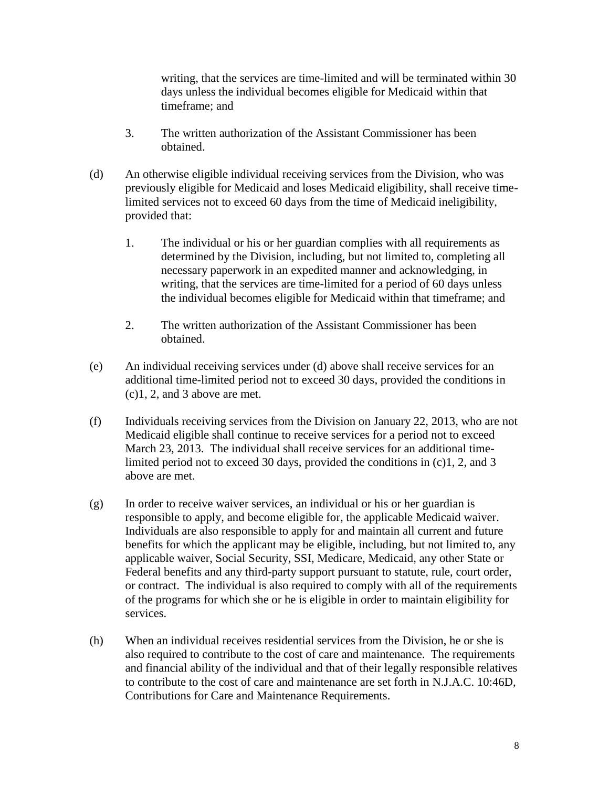writing, that the services are time-limited and will be terminated within 30 days unless the individual becomes eligible for Medicaid within that timeframe; and

- 3. The written authorization of the Assistant Commissioner has been obtained.
- (d) An otherwise eligible individual receiving services from the Division, who was previously eligible for Medicaid and loses Medicaid eligibility, shall receive timelimited services not to exceed 60 days from the time of Medicaid ineligibility, provided that:
	- 1. The individual or his or her guardian complies with all requirements as determined by the Division, including, but not limited to, completing all necessary paperwork in an expedited manner and acknowledging, in writing, that the services are time-limited for a period of 60 days unless the individual becomes eligible for Medicaid within that timeframe; and
	- 2. The written authorization of the Assistant Commissioner has been obtained.
- (e) An individual receiving services under (d) above shall receive services for an additional time-limited period not to exceed 30 days, provided the conditions in (c)1, 2, and 3 above are met.
- (f) Individuals receiving services from the Division on January 22, 2013, who are not Medicaid eligible shall continue to receive services for a period not to exceed March 23, 2013. The individual shall receive services for an additional timelimited period not to exceed 30 days, provided the conditions in (c)1, 2, and 3 above are met.
- (g) In order to receive waiver services, an individual or his or her guardian is responsible to apply, and become eligible for, the applicable Medicaid waiver. Individuals are also responsible to apply for and maintain all current and future benefits for which the applicant may be eligible, including, but not limited to, any applicable waiver, Social Security, SSI, Medicare, Medicaid, any other State or Federal benefits and any third-party support pursuant to statute, rule, court order, or contract. The individual is also required to comply with all of the requirements of the programs for which she or he is eligible in order to maintain eligibility for services.
- (h) When an individual receives residential services from the Division, he or she is also required to contribute to the cost of care and maintenance. The requirements and financial ability of the individual and that of their legally responsible relatives to contribute to the cost of care and maintenance are set forth in N.J.A.C. 10:46D, Contributions for Care and Maintenance Requirements.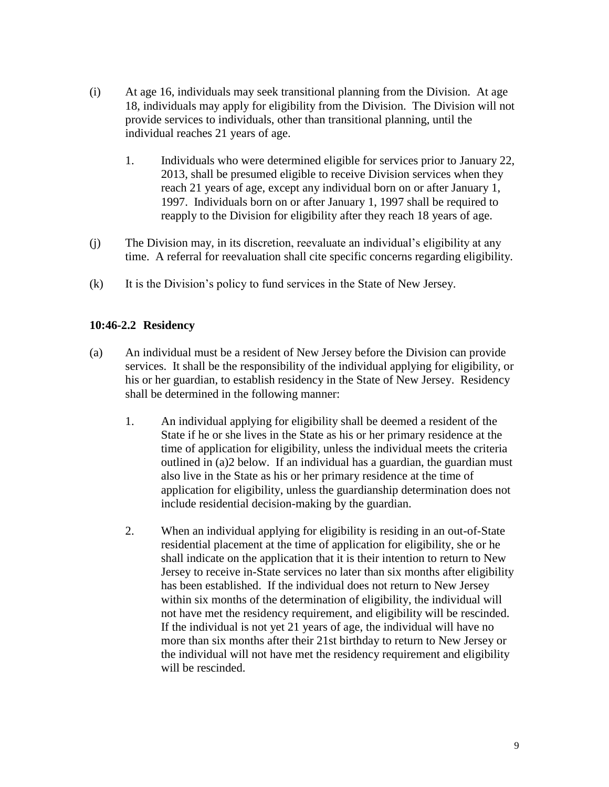- (i) At age 16, individuals may seek transitional planning from the Division. At age 18, individuals may apply for eligibility from the Division. The Division will not provide services to individuals, other than transitional planning, until the individual reaches 21 years of age.
	- 1. Individuals who were determined eligible for services prior to January 22, 2013, shall be presumed eligible to receive Division services when they reach 21 years of age, except any individual born on or after January 1, 1997. Individuals born on or after January 1, 1997 shall be required to reapply to the Division for eligibility after they reach 18 years of age.
- (j) The Division may, in its discretion, reevaluate an individual's eligibility at any time. A referral for reevaluation shall cite specific concerns regarding eligibility.
- (k) It is the Division's policy to fund services in the State of New Jersey.

# **10:46-2.2 Residency**

- (a) An individual must be a resident of New Jersey before the Division can provide services. It shall be the responsibility of the individual applying for eligibility, or his or her guardian, to establish residency in the State of New Jersey. Residency shall be determined in the following manner:
	- 1. An individual applying for eligibility shall be deemed a resident of the State if he or she lives in the State as his or her primary residence at the time of application for eligibility, unless the individual meets the criteria outlined in (a)2 below. If an individual has a guardian, the guardian must also live in the State as his or her primary residence at the time of application for eligibility, unless the guardianship determination does not include residential decision-making by the guardian.
	- 2. When an individual applying for eligibility is residing in an out-of-State residential placement at the time of application for eligibility, she or he shall indicate on the application that it is their intention to return to New Jersey to receive in-State services no later than six months after eligibility has been established. If the individual does not return to New Jersey within six months of the determination of eligibility, the individual will not have met the residency requirement, and eligibility will be rescinded. If the individual is not yet 21 years of age, the individual will have no more than six months after their 21st birthday to return to New Jersey or the individual will not have met the residency requirement and eligibility will be rescinded.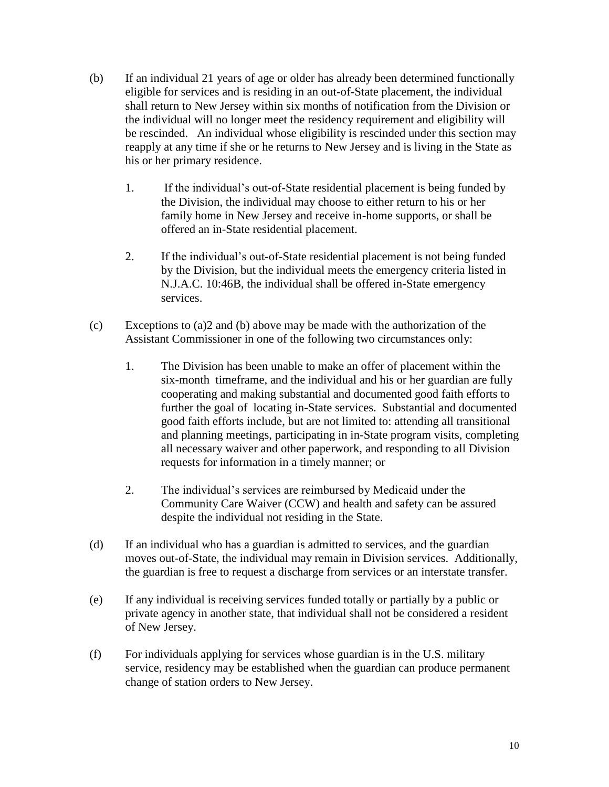- (b) If an individual 21 years of age or older has already been determined functionally eligible for services and is residing in an out-of-State placement, the individual shall return to New Jersey within six months of notification from the Division or the individual will no longer meet the residency requirement and eligibility will be rescinded. An individual whose eligibility is rescinded under this section may reapply at any time if she or he returns to New Jersey and is living in the State as his or her primary residence.
	- 1. If the individual's out-of-State residential placement is being funded by the Division, the individual may choose to either return to his or her family home in New Jersey and receive in-home supports, or shall be offered an in-State residential placement.
	- 2. If the individual's out-of-State residential placement is not being funded by the Division, but the individual meets the emergency criteria listed in N.J.A.C. 10:46B, the individual shall be offered in-State emergency services.
- (c) Exceptions to (a)2 and (b) above may be made with the authorization of the Assistant Commissioner in one of the following two circumstances only:
	- 1. The Division has been unable to make an offer of placement within the six-month timeframe, and the individual and his or her guardian are fully cooperating and making substantial and documented good faith efforts to further the goal of locating in-State services. Substantial and documented good faith efforts include, but are not limited to: attending all transitional and planning meetings, participating in in-State program visits, completing all necessary waiver and other paperwork, and responding to all Division requests for information in a timely manner; or
	- 2. The individual's services are reimbursed by Medicaid under the Community Care Waiver (CCW) and health and safety can be assured despite the individual not residing in the State.
- (d) If an individual who has a guardian is admitted to services, and the guardian moves out-of-State, the individual may remain in Division services. Additionally, the guardian is free to request a discharge from services or an interstate transfer.
- (e) If any individual is receiving services funded totally or partially by a public or private agency in another state, that individual shall not be considered a resident of New Jersey.
- (f) For individuals applying for services whose guardian is in the U.S. military service, residency may be established when the guardian can produce permanent change of station orders to New Jersey.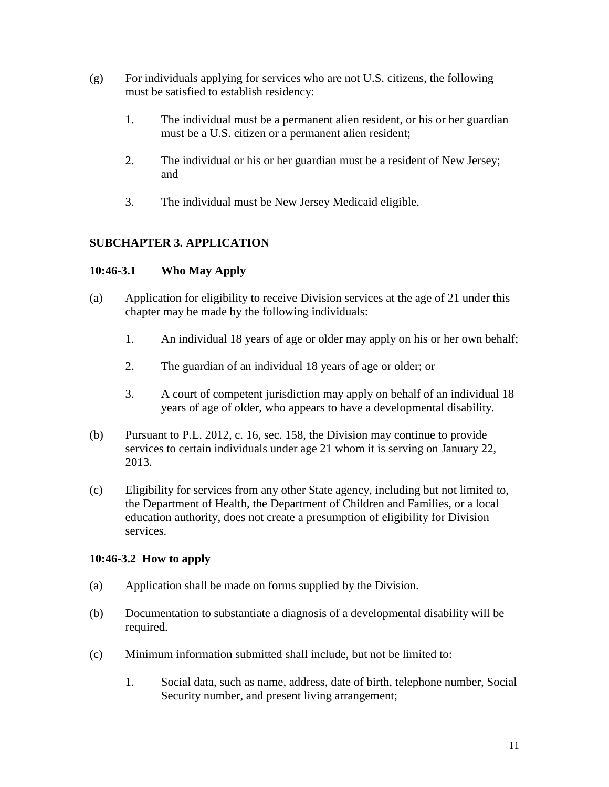- (g) For individuals applying for services who are not U.S. citizens, the following must be satisfied to establish residency:
	- 1. The individual must be a permanent alien resident, or his or her guardian must be a U.S. citizen or a permanent alien resident;
	- 2. The individual or his or her guardian must be a resident of New Jersey; and
	- 3. The individual must be New Jersey Medicaid eligible.

# **SUBCHAPTER 3. APPLICATION**

# **10:46-3.1 Who May Apply**

- (a) Application for eligibility to receive Division services at the age of 21 under this chapter may be made by the following individuals:
	- 1. An individual 18 years of age or older may apply on his or her own behalf;
	- 2. The guardian of an individual 18 years of age or older; or
	- 3. A court of competent jurisdiction may apply on behalf of an individual 18 years of age of older, who appears to have a developmental disability.
- (b) Pursuant to P.L. 2012, c. 16, sec. 158, the Division may continue to provide services to certain individuals under age 21 whom it is serving on January 22, 2013.
- (c) Eligibility for services from any other State agency, including but not limited to, the Department of Health, the Department of Children and Families, or a local education authority, does not create a presumption of eligibility for Division services.

## **10:46-3.2 How to apply**

- (a) Application shall be made on forms supplied by the Division.
- (b) Documentation to substantiate a diagnosis of a developmental disability will be required.
- (c) Minimum information submitted shall include, but not be limited to:
	- 1. Social data, such as name, address, date of birth, telephone number, Social Security number, and present living arrangement;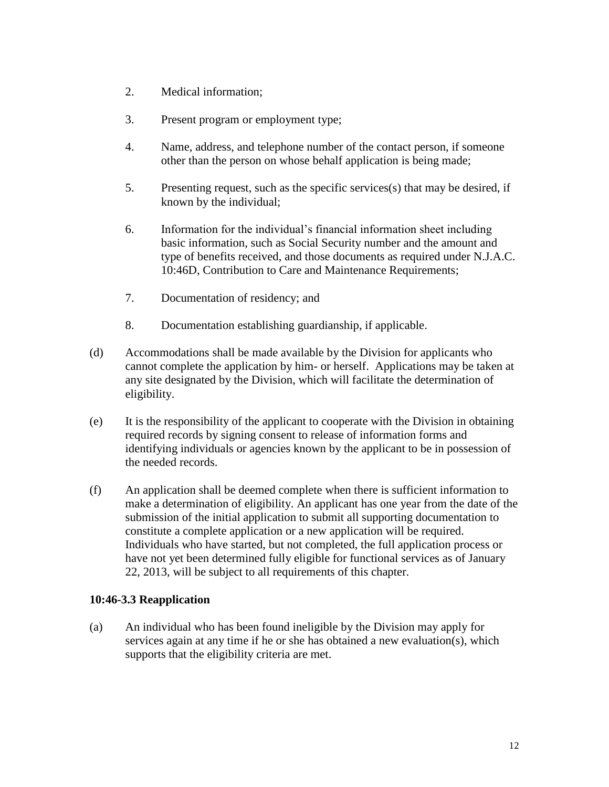- 2. Medical information;
- 3. Present program or employment type;
- 4. Name, address, and telephone number of the contact person, if someone other than the person on whose behalf application is being made;
- 5. Presenting request, such as the specific services(s) that may be desired, if known by the individual;
- 6. Information for the individual's financial information sheet including basic information, such as Social Security number and the amount and type of benefits received, and those documents as required under N.J.A.C. 10:46D, Contribution to Care and Maintenance Requirements;
- 7. Documentation of residency; and
- 8. Documentation establishing guardianship, if applicable.
- (d) Accommodations shall be made available by the Division for applicants who cannot complete the application by him- or herself. Applications may be taken at any site designated by the Division, which will facilitate the determination of eligibility.
- (e) It is the responsibility of the applicant to cooperate with the Division in obtaining required records by signing consent to release of information forms and identifying individuals or agencies known by the applicant to be in possession of the needed records.
- (f) An application shall be deemed complete when there is sufficient information to make a determination of eligibility. An applicant has one year from the date of the submission of the initial application to submit all supporting documentation to constitute a complete application or a new application will be required. Individuals who have started, but not completed, the full application process or have not yet been determined fully eligible for functional services as of January 22, 2013, will be subject to all requirements of this chapter.

### **10:46-3.3 Reapplication**

(a) An individual who has been found ineligible by the Division may apply for services again at any time if he or she has obtained a new evaluation(s), which supports that the eligibility criteria are met.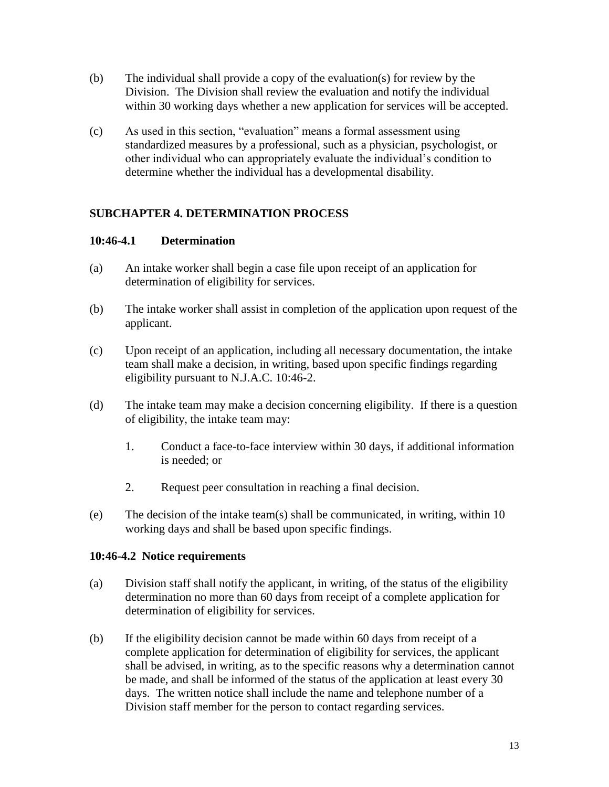- (b) The individual shall provide a copy of the evaluation(s) for review by the Division. The Division shall review the evaluation and notify the individual within 30 working days whether a new application for services will be accepted.
- (c) As used in this section, "evaluation" means a formal assessment using standardized measures by a professional, such as a physician, psychologist, or other individual who can appropriately evaluate the individual's condition to determine whether the individual has a developmental disability.

# **SUBCHAPTER 4. DETERMINATION PROCESS**

### **10:46-4.1 Determination**

- (a) An intake worker shall begin a case file upon receipt of an application for determination of eligibility for services.
- (b) The intake worker shall assist in completion of the application upon request of the applicant.
- (c) Upon receipt of an application, including all necessary documentation, the intake team shall make a decision, in writing, based upon specific findings regarding eligibility pursuant to N.J.A.C. 10:46-2.
- (d) The intake team may make a decision concerning eligibility. If there is a question of eligibility, the intake team may:
	- 1. Conduct a face-to-face interview within 30 days, if additional information is needed; or
	- 2. Request peer consultation in reaching a final decision.
- (e) The decision of the intake team(s) shall be communicated, in writing, within  $10$ working days and shall be based upon specific findings.

### **10:46-4.2 Notice requirements**

- (a) Division staff shall notify the applicant, in writing, of the status of the eligibility determination no more than 60 days from receipt of a complete application for determination of eligibility for services.
- (b) If the eligibility decision cannot be made within 60 days from receipt of a complete application for determination of eligibility for services, the applicant shall be advised, in writing, as to the specific reasons why a determination cannot be made, and shall be informed of the status of the application at least every 30 days. The written notice shall include the name and telephone number of a Division staff member for the person to contact regarding services.